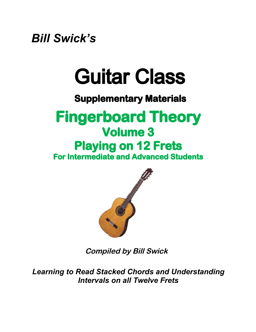*Bill Swick's*

## Guitar Class

### **Supplementary Materials**

### **Fingerboard Theory Volume 3 Playing on 12 Frets For Intermediate and Advanced Students**



**Compiled by Bill Swick**

*Learning to Read Stacked Chords and Understanding Intervals on all Twelve Frets*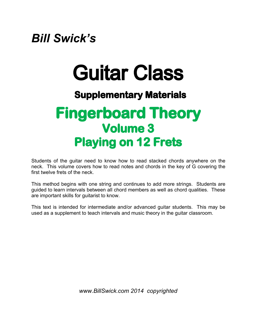### *Bill Swick's*

# Guitar Class

#### **Supplementary Materials**

## **Fingerboard Theory Volume 3 Playing on 12 Frets**

Students of the guitar need to know how to read stacked chords anywhere on the neck. This volume covers how to read notes and chords in the key of G covering the first twelve frets of the neck.

This method begins with one string and continues to add more strings. Students are guided to learn intervals between all chord members as well as chord qualities. These are important skills for guitarist to know.

This text is intended for intermediate and/or advanced guitar students. This may be used as a supplement to teach intervals and music theory in the guitar classroom.

*[www.BillSwick.com 2014 copyrighted](www.BillSwick.com 2014  copyrighted)*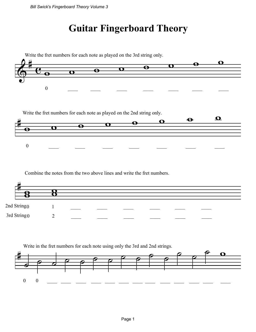### **Guitar Fingerboard Theory**